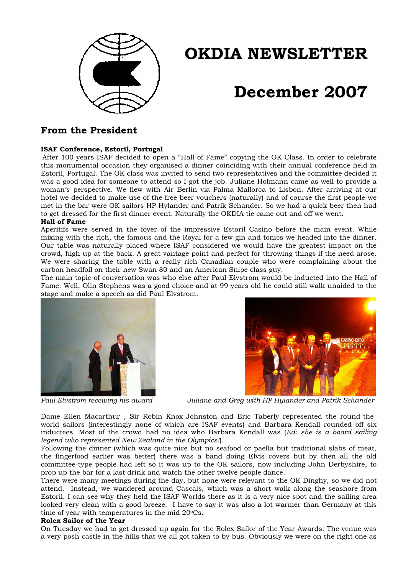

# **OKDIA NEWSLETTER**

# **December 2007**

# **From the President**

## **ISAF Conference, Estoril, Portugal**

 After 100 years ISAF decided to open a "Hall of Fame" copying the OK Class. In order to celebrate this monumental occasion they organised a dinner coinciding with their annual conference held in Estoril, Portugal. The OK class was invited to send two representatives and the committee decided it was a good idea for someone to attend so I got the job. Juliane Hofmann came as well to provide a woman's perspective. We flew with Air Berlin via Palma Mallorca to Lisbon. After arriving at our hotel we decided to make use of the free beer vouchers (naturally) and of course the first people we met in the bar were OK sailors HP Hylander and Patrik Schander. So we had a quick beer then had to get dressed for the first dinner event. Naturally the OKDIA tie came out and off we went.

#### **Hall of Fame**

Aperitifs were served in the foyer of the impressive Estoril Casino before the main event. While mixing with the rich, the famous and the Royal for a few gin and tonics we headed into the dinner. Our table was naturally placed where ISAF considered we would have the greatest impact on the crowd, high up at the back. A great vantage point and perfect for throwing things if the need arose. We were sharing the table with a really rich Canadian couple who were complaining about the carbon headfoil on their new Swan 80 and an American Snipe class guy.

The main topic of conversation was who else after Paul Elvstrom would be inducted into the Hall of Fame. Well, Olin Stephens was a good choice and at 99 years old he could still walk unaided to the stage and make a speech as did Paul Elvstrom.







*Paul Elvstrom receiving his award Juliane and Greg with HP Hylander and Patrik Schander*

Dame Ellen Macarthur , Sir Robin Knox-Johnston and Eric Taberly represented the round-theworld sailors (interestingly none of which are ISAF events) and Barbara Kendall rounded off six inductees. Most of the crowd had no idea who Barbara Kendall was (*Ed: she is a board sailing legend who represented New Zealand in the Olympics!*).

Following the dinner (which was quite nice but no seafood or paella but traditional slabs of meat, the fingerfood earlier was better) there was a band doing Elvis covers but by then all the old committee-type people had left so it was up to the OK sailors, now including John Derbyshire, to prop up the bar for a last drink and watch the other twelve people dance.

There were many meetings during the day, but none were relevant to the OK Dinghy, so we did not attend. Instead, we wandered around Cascais, which was a short walk along the seashore from Estoril. I can see why they held the ISAF Worlds there as it is a very nice spot and the sailing area looked very clean with a good breeze. I have to say it was also a lot warmer than Germany at this time of year with temperatures in the mid  $20^{\circ}$ Cs.

#### **Rolex Sailor of the Year**

On Tuesday we had to get dressed up again for the Rolex Sailor of the Year Awards. The venue was a very posh castle in the hills that we all got taken to by bus. Obviously we were on the right one as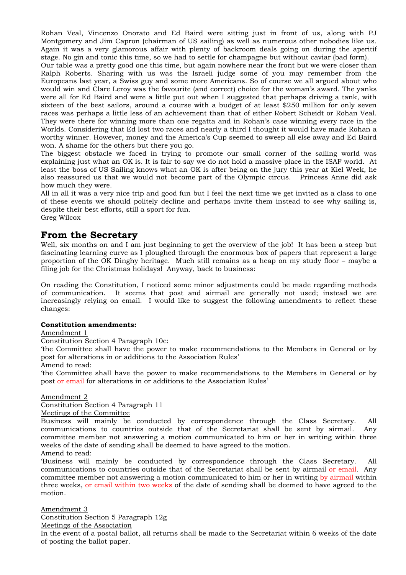Rohan Veal, Vincenzo Onorato and Ed Baird were sitting just in front of us, along with PJ Montgomery and Jim Capron (chairman of US sailing) as well as numerous other nobodies like us. Again it was a very glamorous affair with plenty of backroom deals going on during the aperitif stage. No gin and tonic this time, so we had to settle for champagne but without caviar (bad form).

Our table was a pretty good one this time, but again nowhere near the front but we were closer than Ralph Roberts. Sharing with us was the Israeli judge some of you may remember from the Europeans last year, a Swiss guy and some more Americans. So of course we all argued about who would win and Clare Leroy was the favourite (and correct) choice for the woman's award. The yanks were all for Ed Baird and were a little put out when I suggested that perhaps driving a tank, with sixteen of the best sailors, around a course with a budget of at least \$250 million for only seven races was perhaps a little less of an achievement than that of either Robert Scheidt or Rohan Veal. They were there for winning more than one regatta and in Rohan's case winning every race in the Worlds. Considering that Ed lost two races and nearly a third I thought it would have made Rohan a worthy winner. However, money and the America's Cup seemed to sweep all else away and Ed Baird won. A shame for the others but there you go.

The biggest obstacle we faced in trying to promote our small corner of the sailing world was explaining just what an OK is. It is fair to say we do not hold a massive place in the ISAF world. At least the boss of US Sailing knows what an OK is after being on the jury this year at Kiel Week, he also reassured us that we would not become part of the Olympic circus. Princess Anne did ask how much they were.

All in all it was a very nice trip and good fun but I feel the next time we get invited as a class to one of these events we should politely decline and perhaps invite them instead to see why sailing is, despite their best efforts, still a sport for fun. Greg Wilcox

## **From the Secretary**

Well, six months on and I am just beginning to get the overview of the job! It has been a steep but fascinating learning curve as I ploughed through the enormous box of papers that represent a large proportion of the OK Dinghy heritage. Much still remains as a heap on my study floor – maybe a filing job for the Christmas holidays! Anyway, back to business:

On reading the Constitution, I noticed some minor adjustments could be made regarding methods of communication. It seems that post and airmail are generally not used; instead we are increasingly relying on email. I would like to suggest the following amendments to reflect these changes:

## **Constitution amendments:**

## Amendment 1

Constitution Section 4 Paragraph 10c:

'the Committee shall have the power to make recommendations to the Members in General or by post for alterations in or additions to the Association Rules'

Amend to read:

'the Committee shall have the power to make recommendations to the Members in General or by post or email for alterations in or additions to the Association Rules'

Amendment 2

Constitution Section 4 Paragraph 11

Meetings of the Committee

Business will mainly be conducted by correspondence through the Class Secretary. All communications to countries outside that of the Secretariat shall be sent by airmail. Any committee member not answering a motion communicated to him or her in writing within three weeks of the date of sending shall be deemed to have agreed to the motion.

Amend to read:

'Business will mainly be conducted by correspondence through the Class Secretary. All communications to countries outside that of the Secretariat shall be sent by airmail or email. Any committee member not answering a motion communicated to him or her in writing by airmail within three weeks, or email within two weeks of the date of sending shall be deemed to have agreed to the motion.

Amendment 3

Constitution Section 5 Paragraph 12g

Meetings of the Association

In the event of a postal ballot, all returns shall be made to the Secretariat within 6 weeks of the date of posting the ballot paper.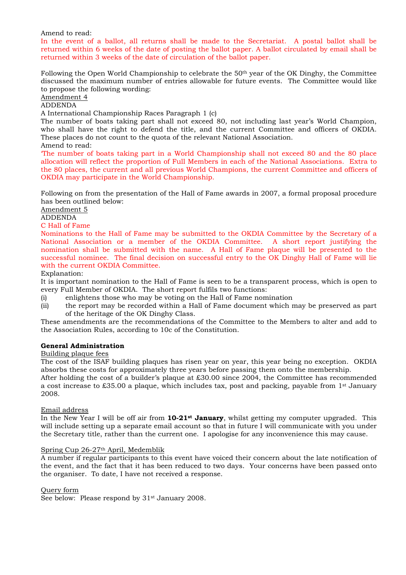Amend to read:

In the event of a ballot, all returns shall be made to the Secretariat. A postal ballot shall be returned within 6 weeks of the date of posting the ballot paper. A ballot circulated by email shall be returned within 3 weeks of the date of circulation of the ballot paper.

Following the Open World Championship to celebrate the 50<sup>th</sup> year of the OK Dinghy, the Committee discussed the maximum number of entries allowable for future events. The Committee would like to propose the following wording:

## Amendment 4

#### ADDENDA

A International Championship Races Paragraph 1 (c)

The number of boats taking part shall not exceed 80, not including last year's World Champion, who shall have the right to defend the title, and the current Committee and officers of OKDIA. These places do not count to the quota of the relevant National Association.

#### Amend to read:

'The number of boats taking part in a World Championship shall not exceed 80 and the 80 place allocation will reflect the proportion of Full Members in each of the National Associations. Extra to the 80 places, the current and all previous World Champions, the current Committee and officers of OKDIA may participate in the World Championship.

Following on from the presentation of the Hall of Fame awards in 2007, a formal proposal procedure has been outlined below:

Amendment 5

ADDENDA

#### C Hall of Fame

Nominations to the Hall of Fame may be submitted to the OKDIA Committee by the Secretary of a National Association or a member of the OKDIA Committee. A short report justifying the nomination shall be submitted with the name. A Hall of Fame plaque will be presented to the successful nominee. The final decision on successful entry to the OK Dinghy Hall of Fame will lie with the current OKDIA Committee.

#### Explanation:

It is important nomination to the Hall of Fame is seen to be a transparent process, which is open to every Full Member of OKDIA. The short report fulfils two functions:

- (i) enlightens those who may be voting on the Hall of Fame nomination
- (ii) the report may be recorded within a Hall of Fame document which may be preserved as part of the heritage of the OK Dinghy Class.

These amendments are the recommendations of the Committee to the Members to alter and add to the Association Rules, according to 10c of the Constitution.

#### **General Administration**

#### Building plaque fees

The cost of the ISAF building plaques has risen year on year, this year being no exception. OKDIA absorbs these costs for approximately three years before passing them onto the membership.

After holding the cost of a builder's plaque at £30.00 since 2004, the Committee has recommended a cost increase to  $£35.00$  a plaque, which includes tax, post and packing, payable from 1<sup>st</sup> January 2008.

#### Email address

In the New Year I will be off air from **10-21st January**, whilst getting my computer upgraded. This will include setting up a separate email account so that in future I will communicate with you under the Secretary title, rather than the current one. I apologise for any inconvenience this may cause.

#### Spring Cup 26-27th April, Medemblik

A number if regular participants to this event have voiced their concern about the late notification of the event, and the fact that it has been reduced to two days. Your concerns have been passed onto the organiser. To date, I have not received a response.

#### Query form

See below: Please respond by  $31<sup>st</sup>$  January 2008.